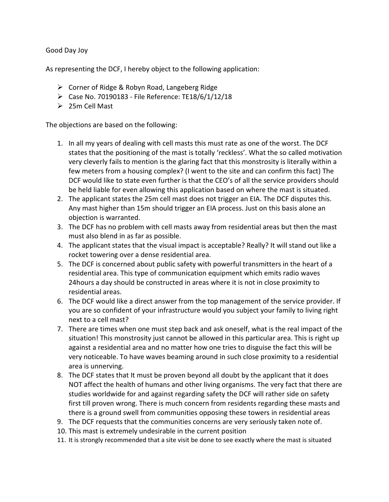## Good Day Joy

As representing the DCF, I hereby object to the following application:

- Corner of Ridge & Robyn Road, Langeberg Ridge
- Case No. 70190183 File Reference: TE18/6/1/12/18
- $\geq 25$ m Cell Mast

The objections are based on the following:

- 1. In all my years of dealing with cell masts this must rate as one of the worst. The DCF states that the positioning of the mast is totally 'reckless'. What the so called motivation very cleverly fails to mention is the glaring fact that this monstrosity is literally within a few meters from a housing complex? (I went to the site and can confirm this fact) The DCF would like to state even further is that the CEO's of all the service providers should be held liable for even allowing this application based on where the mast is situated.
- 2. The applicant states the 25m cell mast does not trigger an EIA. The DCF disputes this. Any mast higher than 15m should trigger an EIA process. Just on this basis alone an objection is warranted.
- 3. The DCF has no problem with cell masts away from residential areas but then the mast must also blend in as far as possible.
- 4. The applicant states that the visual impact is acceptable? Really? It will stand out like a rocket towering over a dense residential area.
- 5. The DCF is concerned about public safety with powerful transmitters in the heart of a residential area. This type of communication equipment which emits radio waves 24hours a day should be constructed in areas where it is not in close proximity to residential areas.
- 6. The DCF would like a direct answer from the top management of the service provider. If you are so confident of your infrastructure would you subject your family to living right next to a cell mast?
- 7. There are times when one must step back and ask oneself, what is the real impact of the situation! This monstrosity just cannot be allowed in this particular area. This is right up against a residential area and no matter how one tries to disguise the fact this will be very noticeable. To have waves beaming around in such close proximity to a residential area is unnerving.
- 8. The DCF states that It must be proven beyond all doubt by the applicant that it does NOT affect the health of humans and other living organisms. The very fact that there are studies worldwide for and against regarding safety the DCF will rather side on safety first till proven wrong. There is much concern from residents regarding these masts and there is a ground swell from communities opposing these towers in residential areas
- 9. The DCF requests that the communities concerns are very seriously taken note of.
- 10. This mast is extremely undesirable in the current position
- 11. It is strongly recommended that a site visit be done to see exactly where the mast is situated